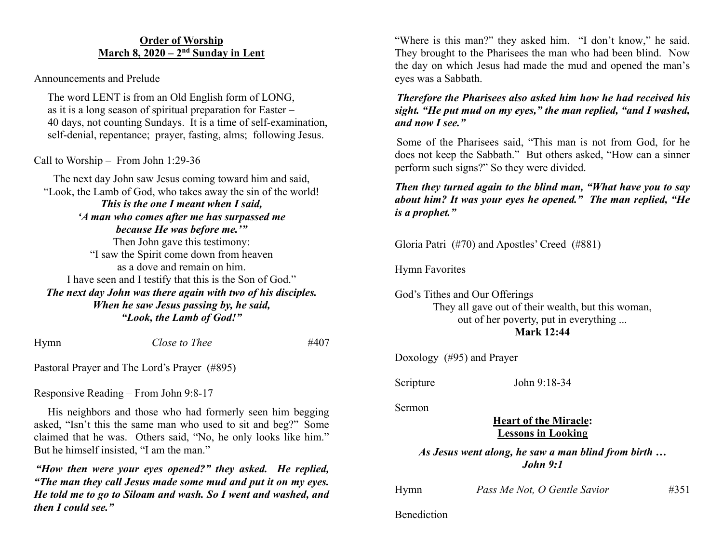#### **Order of Worship March 8, 2020 – 2nd Sunday in Lent**

Announcements and Prelude

 The word LENT is from an Old English form of LONG, as it is a long season of spiritual preparation for Easter – 40 days, not counting Sundays. It is a time of self-examination, self-denial, repentance; prayer, fasting, alms; following Jesus.

Call to Worship – From John 1:29-36

The next day John saw Jesus coming toward him and said, "Look, the Lamb of God, who takes away the sin of the world! *This is the one I meant when I said, 'A man who comes after me has surpassed me because He was before me.'"* Then John gave this testimony: "I saw the Spirit come down from heaven as a dove and remain on him. I have seen and I testify that this is the Son of God." *The next day John was there again with two of his disciples. When he saw Jesus passing by, he said, "Look, the Lamb of God!"*

Hymn *Close to Thee* #407

Pastoral Prayer and The Lord's Prayer (#895)

Responsive Reading – From John 9:8-17

 His neighbors and those who had formerly seen him begging asked, "Isn't this the same man who used to sit and beg?" Some claimed that he was. Others said, "No, he only looks like him." But he himself insisted, "I am the man."

*"How then were your eyes opened?" they asked. He replied, "The man they call Jesus made some mud and put it on my eyes. He told me to go to Siloam and wash. So I went and washed, and then I could see."*

"Where is this man?" they asked him. "I don't know," he said. They brought to the Pharisees the man who had been blind. Now the day on which Jesus had made the mud and opened the man's eyes was a Sabbath.

*Therefore the Pharisees also asked him how he had received his sight. "He put mud on my eyes," the man replied, "and I washed, and now I see."*

Some of the Pharisees said, "This man is not from God, for he does not keep the Sabbath." But others asked, "How can a sinner perform such signs?" So they were divided.

*Then they turned again to the blind man, "What have you to say about him? It was your eyes he opened." The man replied, "He is a prophet."*

Gloria Patri (#70) and Apostles' Creed (#881)

Hymn Favorites

God's Tithes and Our Offerings They all gave out of their wealth, but this woman, out of her poverty, put in everything ... **Mark 12:44**

Doxology (#95) and Prayer

Scripture John 9:18-34

Sermon

**Benediction** 

**Heart of the Miracle: Lessons in Looking**

*As Jesus went along, he saw a man blind from birth … John 9:1*

| Hymn | Pass Me Not, O Gentle Savior | #351 |
|------|------------------------------|------|
|      |                              |      |